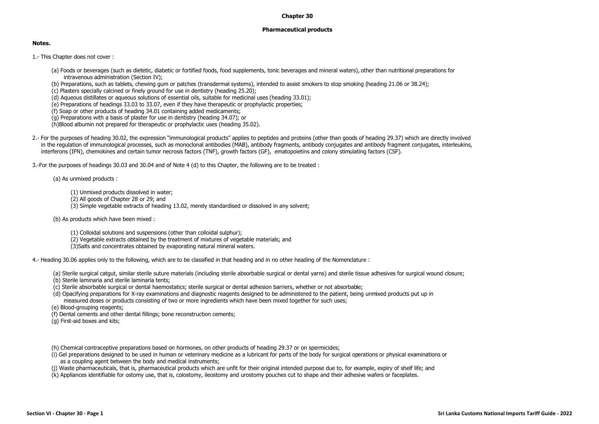## **Chapter 30**

## **Pharmaceutical products**

## **Notes.**

1.- This Chapter does not cover :

- (a) Foods or beverages (such as dietetic, diabetic or fortified foods, food supplements, tonic beverages and mineral waters), other than nutritional preparations for intravenous administration (Section IV);
- (b) Preparations, such as tablets, chewing gum or patches (transdermal systems), intended to assist smokers to stop smoking (heading 21.06 or 38.24);
- (c) Plasters specially calcined or finely ground for use in dentistry (heading 25.20);
- (d) Aqueous distillates or aqueous solutions of essential oils, suitable for medicinal uses (heading 33.01);
- (e) Preparations of headings 33.03 to 33.07, even if they have therapeutic or prophylactic properties;
- (f) Soap or other products of heading 34.01 containing added medicaments;
- (g) Preparations with a basis of plaster for use in dentistry (heading 34.07); or
- (h)Blood albumin not prepared for therapeutic or prophylactic uses (heading 35.02).
- 2.- For the purposes of heading 30.02, the expression "immunological products" applies to peptides and proteins (other than goods of heading 29.37) which are directly involved in the regulation of immunological processes, such as monoclonal antibodies (MAB), antibody fragments, antibody conjugates and antibody fragment conjugates, interleukins, interferons (IFN), chemokines and certain tumor necrosis factors (TNF), growth factors (GF), ematopoietins and colony stimulating factors (CSF).

3.-For the purposes of headings 30.03 and 30.04 and of Note 4 (d) to this Chapter, the following are to be treated :

(a) As unmixed products :

- (1) Unmixed products dissolved in water;
- (2) All goods of Chapter 28 or 29; and
- (3) Simple vegetable extracts of heading 13.02, merely standardised or dissolved in any solvent;
- (b) As products which have been mixed :
	- (1) Colloidal solutions and suspensions (other than colloidal sulphur);
	- (2) Vegetable extracts obtained by the treatment of mixtures of vegetable materials; and
	- (3)Salts and concentrates obtained by evaporating natural mineral waters.

4.- Heading 30.06 applies only to the following, which are to be classified in that heading and in no other heading of the Nomenclature :

- (a) Sterile surgical catgut, similar sterile suture materials (including sterile absorbable surgical or dental yarns) and sterile tissue adhesives for surgical wound closure;
- (b) Sterile laminaria and sterile laminaria tents;
- (c) Sterile absorbable surgical or dental haemostatics; sterile surgical or dental adhesion barriers, whether or not absorbable;
- (d) Opacifying preparations for X-ray examinations and diagnostic reagents designed to be administered to the patient, being unmixed products put up in measured doses or products consisting of two or more ingredients which have been mixed together for such uses;
- (e) Blood-grouping reagents;
- (f) Dental cements and other dental fillings; bone reconstruction cements;
- (g) First-aid boxes and kits;
- (h) Chemical contraceptive preparations based on hormones, on other products of heading 29.37 or on spermicides;
- (i) Gel preparations designed to be used in human or veterinary medicine as a lubricant for parts of the body for surgical operations or physical examinations or as a coupling agent between the body and medical instruments;
- (j) Waste pharmaceuticals, that is, pharmaceutical products which are unfit for their original intended purpose due to, for example, expiry of shelf life; and
- (k) Appliances identifiable for ostomy use, that is, colostomy, ileostomy and urostomy pouches cut to shape and their adhesive wafers or faceplates.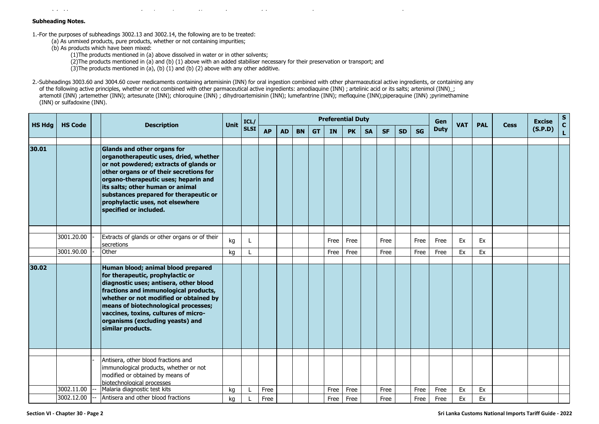(k) Appliances identifiable for ostomy use, that is, colostomy, ileostomy and urostomy pouches cut to shape and their adhesive wafers or faceplates.

## **Subheading Notes.**

1.-For the purposes of subheadings 3002.13 and 3002.14, the following are to be treated:

(a) As unmixed products, pure products, whether or not containing impurities;

(b) As products which have been mixed:

(1)The products mentioned in (a) above dissolved in water or in other solvents;

(2)The products mentioned in (a) and (b) (1) above with an added stabiliser necessary for their preservation or transport; and

(3) The products mentioned in  $(a)$ ,  $(b)$   $(1)$  and  $(b)$   $(2)$  above with any other additive.

2.-Subheadings 3003.60 and 3004.60 cover medicaments containing artemisinin (INN) for oral ingestion combined with other pharmaceutical active ingredients, or containing any of the following active principles, whether or not combined with other parmaceutical active ingredients: amodiaquine (INN) ; artelinic acid or its salts; artenimol (INN)\_; artemotil (INN) ;artemether (INN); artesunate (INN); chloroquine (INN) ; dihydroartemisinin (INN); lumefantrine (INN); mefloquine (INN);piperaquine (INN) ;pyrimethamine (INN) or sulfadoxine (INN).

|               |                |                                                                                                                                                                                                                                                                                                                                                       |             | ICL/        | <b>Preferential Duty</b> |           |           |           |           |           |           |           |           |           |             | Gen        |            |             | <b>Excise</b> | $\mathbf{s}$      |
|---------------|----------------|-------------------------------------------------------------------------------------------------------------------------------------------------------------------------------------------------------------------------------------------------------------------------------------------------------------------------------------------------------|-------------|-------------|--------------------------|-----------|-----------|-----------|-----------|-----------|-----------|-----------|-----------|-----------|-------------|------------|------------|-------------|---------------|-------------------|
| <b>HS Hdg</b> | <b>HS Code</b> | <b>Description</b>                                                                                                                                                                                                                                                                                                                                    | <b>Unit</b> | <b>SLSI</b> | <b>AP</b>                | <b>AD</b> | <b>BN</b> | <b>GT</b> | <b>IN</b> | <b>PK</b> | <b>SA</b> | <b>SF</b> | <b>SD</b> | <b>SG</b> | <b>Duty</b> | <b>VAT</b> | <b>PAL</b> | <b>Cess</b> | (S.P.D)       | $\mathbf{C}$<br>L |
|               |                |                                                                                                                                                                                                                                                                                                                                                       |             |             |                          |           |           |           |           |           |           |           |           |           |             |            |            |             |               |                   |
| 30.01         |                | <b>Glands and other organs for</b><br>organotherapeutic uses, dried, whether<br>or not powdered; extracts of glands or<br>other organs or of their secretions for<br>organo-therapeutic uses; heparin and<br>its salts; other human or animal<br>substances prepared for therapeutic or<br>prophylactic uses, not elsewhere<br>specified or included. |             |             |                          |           |           |           |           |           |           |           |           |           |             |            |            |             |               |                   |
|               |                |                                                                                                                                                                                                                                                                                                                                                       |             |             |                          |           |           |           |           |           |           |           |           |           |             |            |            |             |               |                   |
|               | 3001.20.00     | Extracts of glands or other organs or of their<br>secretions                                                                                                                                                                                                                                                                                          | kg          |             |                          |           |           |           | Free      | Free      |           | Free      |           | Free      | Free        | Ex         | Ex         |             |               |                   |
|               | 3001.90.00     | Other                                                                                                                                                                                                                                                                                                                                                 | kg          |             |                          |           |           |           | Free      | Free      |           | Free      |           | Free      | Free        | Ex         | Ex         |             |               |                   |
| 30.02         |                | Human blood; animal blood prepared<br>for therapeutic, prophylactic or<br>diagnostic uses; antisera, other blood<br>fractions and immunological products,<br>whether or not modified or obtained by<br>means of biotechnological processes;<br>vaccines, toxins, cultures of micro-<br>organisms (excluding yeasts) and<br>similar products.          |             |             |                          |           |           |           |           |           |           |           |           |           |             |            |            |             |               |                   |
|               | 3002.11.00     | Antisera, other blood fractions and<br>immunological products, whether or not<br>modified or obtained by means of<br>biotechnological processes<br>Malaria diagnostic test kits                                                                                                                                                                       | kg          |             | Free                     |           |           |           | Free      | Free      |           | Free      |           | Free      | Free        | Ex         | Ex         |             |               |                   |
|               | 3002.12.00     | Antisera and other blood fractions                                                                                                                                                                                                                                                                                                                    | kg          |             | Free                     |           |           |           | Free      | Free      |           | Free      |           | Free      | Free        | Ex         | Ex         |             |               |                   |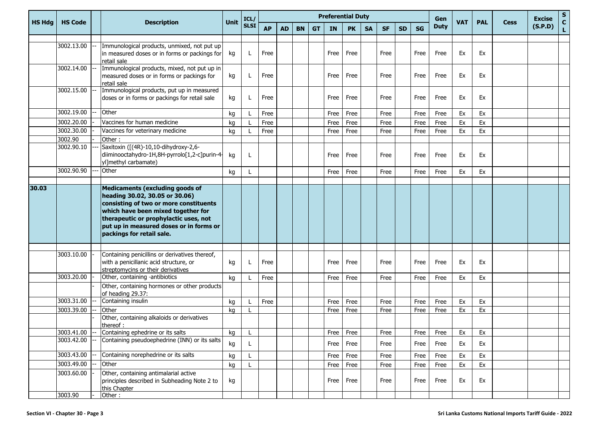|               | <b>Description</b><br><b>HS Code</b> |  |                                                                                                                                                                                                                                                                           | ICL/ |              |           |           |           |           | <b>Preferential Duty</b> |           |           |           |           | Gen       |             |            | <b>Excise</b> | $\mathbf{s}$ |         |                    |
|---------------|--------------------------------------|--|---------------------------------------------------------------------------------------------------------------------------------------------------------------------------------------------------------------------------------------------------------------------------|------|--------------|-----------|-----------|-----------|-----------|--------------------------|-----------|-----------|-----------|-----------|-----------|-------------|------------|---------------|--------------|---------|--------------------|
| <b>HS Hdg</b> |                                      |  |                                                                                                                                                                                                                                                                           | Unit | <b>SLSI</b>  | <b>AP</b> | <b>AD</b> | <b>BN</b> | <b>GT</b> | <b>IN</b>                | <b>PK</b> | <b>SA</b> | <b>SF</b> | <b>SD</b> | <b>SG</b> | <b>Duty</b> | <b>VAT</b> | <b>PAL</b>    | <b>Cess</b>  | (S.P.D) | $\mathbf{C}$<br>L. |
|               |                                      |  |                                                                                                                                                                                                                                                                           |      |              |           |           |           |           |                          |           |           |           |           |           |             |            |               |              |         |                    |
|               | 3002.13.00                           |  | Immunological products, unmixed, not put up<br>in measured doses or in forms or packings for<br>retail sale                                                                                                                                                               | kg   | L            | Free      |           |           |           | Free                     | Free      |           | Free      |           | Free      | Free        | Ex         | Ex            |              |         |                    |
|               | 3002.14.00                           |  | Immunological products, mixed, not put up in<br>measured doses or in forms or packings for<br>retail sale                                                                                                                                                                 | kg   | L            | Free      |           |           |           | Free                     | Free      |           | Free      |           | Free      | Free        | Ex         | Ex            |              |         |                    |
|               | 3002.15.00                           |  | Immunological products, put up in measured<br>doses or in forms or packings for retail sale                                                                                                                                                                               | kg   | L            | Free      |           |           |           | Free                     | Free      |           | Free      |           | Free      | Free        | Ex         | Ex            |              |         |                    |
|               | 3002.19.00                           |  | Other                                                                                                                                                                                                                                                                     | kg   | $\mathbf{I}$ | Free      |           |           |           | Free                     | Free      |           | Free      |           | Free      | Free        | Ex         | Ex            |              |         |                    |
|               | 3002.20.00                           |  | Vaccines for human medicine                                                                                                                                                                                                                                               | kg   |              | Free      |           |           |           | Free                     | Free      |           | Free      |           | Free      | Free        | Ex         | Ex            |              |         |                    |
|               | 3002.30.00                           |  | Vaccines for veterinary medicine                                                                                                                                                                                                                                          | kg   |              | Free      |           |           |           | Free                     | Free      |           | Free      |           | Free      | Free        | Ex         | Ex            |              |         |                    |
|               | 3002.90                              |  | Other:                                                                                                                                                                                                                                                                    |      |              |           |           |           |           |                          |           |           |           |           |           |             |            |               |              |         |                    |
|               | 3002.90.10                           |  | Saxitoxin ([(4R)-10,10-dihydroxy-2,6-<br>diiminooctahydro-1H,8H-pyrrolo[1,2-c]purin-4-<br>yl]methyl carbamate)                                                                                                                                                            | kg   | L            |           |           |           |           | Free                     | Free      |           | Free      |           | Free      | Free        | Ex         | Ex            |              |         |                    |
|               | 3002.90.90                           |  | Other                                                                                                                                                                                                                                                                     | kg   | L            |           |           |           |           | Free                     | Free      |           | Free      |           | Free      | Free        | Ex         | Ex            |              |         |                    |
|               |                                      |  |                                                                                                                                                                                                                                                                           |      |              |           |           |           |           |                          |           |           |           |           |           |             |            |               |              |         |                    |
| 30.03         |                                      |  | <b>Medicaments (excluding goods of</b><br>heading 30.02, 30.05 or 30.06)<br>consisting of two or more constituents<br>which have been mixed together for<br>therapeutic or prophylactic uses, not<br>put up in measured doses or in forms or<br>packings for retail sale. |      |              |           |           |           |           |                          |           |           |           |           |           |             |            |               |              |         |                    |
|               | 3003.10.00                           |  | Containing penicillins or derivatives thereof,<br>with a penicillanic acid structure, or<br>streptomycins or their derivatives                                                                                                                                            | kg   | L            | Free      |           |           |           | Free                     | Free      |           | Free      |           | Free      | Free        | Ex         | Ex            |              |         |                    |
|               | 3003.20.00                           |  | Other, containing -antibiotics                                                                                                                                                                                                                                            | kg   |              | Free      |           |           |           | Free                     | Free      |           | Free      |           | Free      | Free        | Ex         | Ex            |              |         |                    |
|               |                                      |  | Other, containing hormones or other products<br>of heading 29.37:                                                                                                                                                                                                         |      |              |           |           |           |           |                          |           |           |           |           |           |             |            |               |              |         |                    |
|               | 3003.31.00                           |  | Containing insulin                                                                                                                                                                                                                                                        | kg   |              | Free      |           |           |           | Free                     | Free      |           | Free      |           | Free      | Free        | Ex         | Ex            |              |         |                    |
|               | 3003.39.00                           |  | Other                                                                                                                                                                                                                                                                     | kg   |              |           |           |           |           | Free                     | Free      |           | Free      |           | Free      | Free        | Ex         | Ex            |              |         |                    |
|               |                                      |  | Other, containing alkaloids or derivatives<br>thereof:                                                                                                                                                                                                                    |      |              |           |           |           |           |                          |           |           |           |           |           |             |            |               |              |         |                    |
|               | 3003.41.00                           |  | Containing ephedrine or its salts                                                                                                                                                                                                                                         | kg   | L            |           |           |           |           |                          | Free Free |           | Free      |           | Free      | Free        | Ex         | Ex            |              |         |                    |
|               | 3003.42.00                           |  | Containing pseudoephedrine (INN) or its salts                                                                                                                                                                                                                             | kg   |              |           |           |           |           | Free                     | Free      |           | Free      |           | Free      | Free        | Ex         | Ex            |              |         |                    |
|               | 3003.43.00                           |  | Containing norephedrine or its salts                                                                                                                                                                                                                                      | kg   | L            |           |           |           |           | Free                     | Free      |           | Free      |           | Free      | Free        | Ex         | Ex            |              |         |                    |
|               | 3003.49.00                           |  | Other                                                                                                                                                                                                                                                                     | kg   | L            |           |           |           |           | Free                     | Free      |           | Free      |           | Free      | Free        | Ex         | Ex            |              |         |                    |
|               | 3003.60.00                           |  | Other, containing antimalarial active<br>principles described in Subheading Note 2 to<br>this Chapter                                                                                                                                                                     | kg   |              |           |           |           |           | Free                     | Free      |           | Free      |           | Free      | Free        | Ex         | Ex            |              |         |                    |
|               | 3003.90                              |  | Other:                                                                                                                                                                                                                                                                    |      |              |           |           |           |           |                          |           |           |           |           |           |             |            |               |              |         |                    |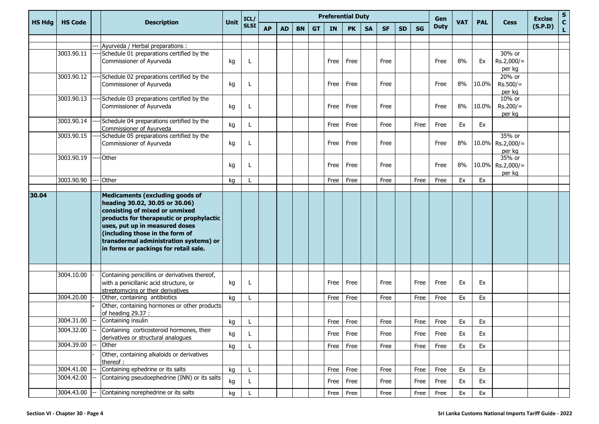|               |                |                                                                                                                                                                                                                                                                      |      | ICL/        | <b>Preferential Duty</b> |           |           |           |           |           |           |           |           |           | Gen         | <b>VAT</b> |            |                                      | <b>Excise</b> | $\mathbf{s}$       |
|---------------|----------------|----------------------------------------------------------------------------------------------------------------------------------------------------------------------------------------------------------------------------------------------------------------------|------|-------------|--------------------------|-----------|-----------|-----------|-----------|-----------|-----------|-----------|-----------|-----------|-------------|------------|------------|--------------------------------------|---------------|--------------------|
| <b>HS Hdg</b> | <b>HS Code</b> | <b>Description</b>                                                                                                                                                                                                                                                   | Unit | <b>SLSI</b> | <b>AP</b>                | <b>AD</b> | <b>BN</b> | <b>GT</b> | <b>IN</b> | <b>PK</b> | <b>SA</b> | <b>SF</b> | <b>SD</b> | <b>SG</b> | <b>Duty</b> |            | <b>PAL</b> | <b>Cess</b>                          | (S.P.D)       | $\mathbf{C}$<br>L. |
|               |                |                                                                                                                                                                                                                                                                      |      |             |                          |           |           |           |           |           |           |           |           |           |             |            |            |                                      |               |                    |
|               | 3003.90.11     | Ayurveda / Herbal preparations :                                                                                                                                                                                                                                     |      |             |                          |           |           |           |           |           |           |           |           |           |             |            |            |                                      |               |                    |
|               |                | Schedule 01 preparations certified by the<br>Commissioner of Ayurveda                                                                                                                                                                                                | kg   |             |                          |           |           |           | Free      | Free      |           | Free      |           |           | Free        | 8%         | Ex         | 30% or<br>$Rs.2,000/=$<br>per kg     |               |                    |
|               | 3003.90.12     | Schedule 02 preparations certified by the<br>Commissioner of Ayurveda                                                                                                                                                                                                | kg   |             |                          |           |           |           | Free      | Free      |           | Free      |           |           | Free        | 8%         | 10.0%      | 20% or<br>$Rs.500/=$<br>per kg       |               |                    |
|               | 3003.90.13     | Schedule 03 preparations certified by the<br>Commissioner of Ayurveda                                                                                                                                                                                                | kg   |             |                          |           |           |           | Free      | Free      |           | Free      |           |           | Free        | 8%         | 10.0%      | 10% or<br>$Rs.200/=$<br>per kg       |               |                    |
|               | 3003.90.14     | Schedule 04 preparations certified by the<br>Commissioner of Ayurveda                                                                                                                                                                                                | kg   |             |                          |           |           |           | Free      | Free      |           | Free      |           | Free      | Free        | Ex         | Ex         |                                      |               |                    |
|               | 3003.90.15     | Schedule 05 preparations certified by the<br>Commissioner of Ayurveda                                                                                                                                                                                                | kg   |             |                          |           |           |           | Free      | Free      |           | Free      |           |           | Free        | 8%         | 10.0%      | 35% or<br>$Rs.2,000/=$<br>per kg     |               |                    |
|               | 3003.90.19     | --- Other                                                                                                                                                                                                                                                            | kg   | L           |                          |           |           |           | Free      | Free      |           | Free      |           |           | Free        | 8%         |            | 35% or<br>10.0% Rs.2,000/=<br>per kg |               |                    |
|               | 3003.90.90     | Other                                                                                                                                                                                                                                                                | kg   |             |                          |           |           |           | Free      | Free      |           | Free      |           | Free      | Free        | Ex         | Ex         |                                      |               |                    |
| 30.04         |                | Medicaments (excluding goods of                                                                                                                                                                                                                                      |      |             |                          |           |           |           |           |           |           |           |           |           |             |            |            |                                      |               |                    |
|               |                | heading 30.02, 30.05 or 30.06)<br>consisting of mixed or unmixed<br>products for therapeutic or prophylactic<br>uses, put up in measured doses<br>(including those in the form of<br>transdermal administration systems) or<br>in forms or packings for retail sale. |      |             |                          |           |           |           |           |           |           |           |           |           |             |            |            |                                      |               |                    |
|               | 3004.10.00     | Containing penicillins or derivatives thereof,                                                                                                                                                                                                                       |      |             |                          |           |           |           |           |           |           |           |           |           |             |            |            |                                      |               |                    |
|               |                | with a penicillanic acid structure, or<br>streptomycins or their derivatives                                                                                                                                                                                         | kg   |             |                          |           |           |           | Free      | Free      |           | Free      |           | Free      | Free        | Ex         | Ex         |                                      |               |                    |
|               | 3004.20.00     | Other, containing antibiotics                                                                                                                                                                                                                                        | kg   |             |                          |           |           |           | Free      | Free      |           | Free      |           | Free      | Free        | Ex         | Ex         |                                      |               |                    |
|               |                | Other, containing hormones or other products<br>of heading 29.37 :                                                                                                                                                                                                   |      |             |                          |           |           |           |           |           |           |           |           |           |             |            |            |                                      |               |                    |
|               | 3004.31.00     | Containing insulin                                                                                                                                                                                                                                                   | kg   |             |                          |           |           |           | Free      | Free      |           | Free      |           | Free      | Free        | Ex         | Ex         |                                      |               |                    |
|               | 3004.32.00     | Containing corticosteroid hormones, their<br>derivatives or structural analogues                                                                                                                                                                                     | kg   | L           |                          |           |           |           | Free      | Free      |           | Free      |           | Free      | Free        | Ex         | Ex         |                                      |               |                    |
|               | 3004.39.00     | Other                                                                                                                                                                                                                                                                | kg   | L           |                          |           |           |           | Free      | Free      |           | Free      |           | Free      | Free        | Ex         | Ex         |                                      |               |                    |
|               |                | Other, containing alkaloids or derivatives<br>thereof :                                                                                                                                                                                                              |      |             |                          |           |           |           |           |           |           |           |           |           |             |            |            |                                      |               |                    |
|               | 3004.41.00     | Containing ephedrine or its salts                                                                                                                                                                                                                                    | kg   | L           |                          |           |           |           | Free      | Free      |           | Free      |           | Free      | Free        | Ex         | Ex         |                                      |               |                    |
|               | 3004.42.00     | Containing pseudoephedrine (INN) or its salts                                                                                                                                                                                                                        | kg   |             |                          |           |           |           | Free      | Free      |           | Free      |           | Free      | Free        | Ex         | Ex         |                                      |               |                    |
|               | 3004.43.00     | Containing norephedrine or its salts                                                                                                                                                                                                                                 | kg   | L           |                          |           |           |           |           | Free Free |           | Free      |           | Free      | Free        | Ex         | Ex         |                                      |               |                    |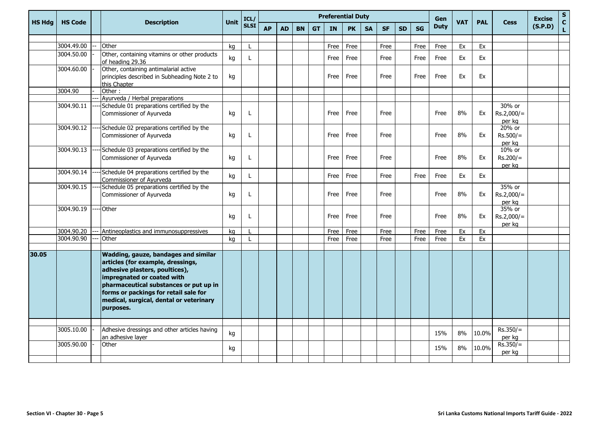| <b>HS Hda</b> | <b>HS Code</b> | <b>Description</b>                                                                                                                                                                                                                                                                          | Unit | ICL/         |           |           |           |           |           | <b>Preferential Duty</b> |           |           | Gen       |           | <b>PAL</b>  |            | <b>Excise</b> | $\mathsf S$                      |         |                              |
|---------------|----------------|---------------------------------------------------------------------------------------------------------------------------------------------------------------------------------------------------------------------------------------------------------------------------------------------|------|--------------|-----------|-----------|-----------|-----------|-----------|--------------------------|-----------|-----------|-----------|-----------|-------------|------------|---------------|----------------------------------|---------|------------------------------|
|               |                |                                                                                                                                                                                                                                                                                             |      | <b>SLSI</b>  | <b>AP</b> | <b>AD</b> | <b>BN</b> | <b>GT</b> | <b>IN</b> | <b>PK</b>                | <b>SA</b> | <b>SF</b> | <b>SD</b> | <b>SG</b> | <b>Duty</b> | <b>VAT</b> |               | <b>Cess</b>                      | (S.P.D) | $\mathbf{C}$<br>$\mathbf{L}$ |
|               |                |                                                                                                                                                                                                                                                                                             |      |              |           |           |           |           |           |                          |           |           |           |           |             |            |               |                                  |         |                              |
|               | 3004.49.00     | Other                                                                                                                                                                                                                                                                                       | kg   |              |           |           |           |           | Free      | Free                     |           | Free      |           | Free      | Free        | Ex         | Ex            |                                  |         |                              |
|               | 3004.50.00     | Other, containing vitamins or other products<br>of heading 29.36                                                                                                                                                                                                                            | kg   | L            |           |           |           |           | Free      | Free                     |           | Free      |           | Free      | Free        | <b>Ex</b>  | Ex            |                                  |         |                              |
|               | 3004.60.00     | Other, containing antimalarial active<br>principles described in Subheading Note 2 to<br>this Chapter                                                                                                                                                                                       | kg   |              |           |           |           |           | Free      | Free                     |           | Free      |           | Free      | Free        | Ex         | Ex            |                                  |         |                              |
|               | 3004.90        | Other:                                                                                                                                                                                                                                                                                      |      |              |           |           |           |           |           |                          |           |           |           |           |             |            |               |                                  |         |                              |
|               | 3004.90.11     | Ayurveda / Herbal preparations<br>Schedule 01 preparations certified by the<br>Commissioner of Ayurveda                                                                                                                                                                                     | kg   | L            |           |           |           |           | Free      | Free                     |           | Free      |           |           | Free        | 8%         | Ex            | 30% or<br>$Rs.2,000/=$<br>per ka |         |                              |
|               | 3004.90.12     | Schedule 02 preparations certified by the<br>Commissioner of Ayurveda                                                                                                                                                                                                                       | kg   | $\mathbf{I}$ |           |           |           |           | Free      | Free                     |           | Free      |           |           | Free        | 8%         | Ex            | 20% or<br>$Rs.500/=$<br>per kg   |         |                              |
|               | 3004.90.13     | Schedule 03 preparations certified by the<br>Commissioner of Ayurveda                                                                                                                                                                                                                       | kg   | $\mathbf{I}$ |           |           |           |           | Free      | Free                     |           | Free      |           |           | Free        | 8%         | Ex            | 10% or<br>$Rs.200/=$<br>per kg   |         |                              |
|               | 3004.90.14     | Schedule 04 preparations certified by the<br>Commissioner of Ayurveda                                                                                                                                                                                                                       | kg   | $\mathsf{I}$ |           |           |           |           | Free      | Free                     |           | Free      |           | Free      | Free        | Ex         | Ex            |                                  |         |                              |
|               | 3004.90.15     | Schedule 05 preparations certified by the<br>Commissioner of Ayurveda                                                                                                                                                                                                                       | kg   | L            |           |           |           |           | Free      | Free                     |           | Free      |           |           | Free        | 8%         | Ex            | 35% or<br>$Rs.2,000/=$<br>per kg |         |                              |
|               | 3004.90.19     | Other                                                                                                                                                                                                                                                                                       | kg   | L            |           |           |           |           | Free      | Free                     |           | Free      |           |           | Free        | 8%         | Ex            | 35% or<br>$Rs.2,000/=$<br>per kg |         |                              |
|               | 3004.90.20     | Antineoplastics and immunosuppressives                                                                                                                                                                                                                                                      | kg   |              |           |           |           |           | Free      | Free                     |           | Free      |           | Free      | Free        | Ex         | Ex            |                                  |         |                              |
|               | 3004.90.90     | Other                                                                                                                                                                                                                                                                                       | kg   | $\mathbf{I}$ |           |           |           |           | Free      | Free                     |           | Free      |           | Free      | Free        | Ex         | Ex            |                                  |         |                              |
| 30.05         |                | <b>Wadding, gauze, bandages and similar</b><br>articles (for example, dressings,<br>adhesive plasters, poultices),<br>impregnated or coated with<br>pharmaceutical substances or put up in<br>forms or packings for retail sale for<br>medical, surgical, dental or veterinary<br>purposes. |      |              |           |           |           |           |           |                          |           |           |           |           |             |            |               |                                  |         |                              |
|               |                |                                                                                                                                                                                                                                                                                             |      |              |           |           |           |           |           |                          |           |           |           |           |             |            |               |                                  |         |                              |
|               | 3005.10.00     | Adhesive dressings and other articles having<br>an adhesive layer                                                                                                                                                                                                                           | kg   |              |           |           |           |           |           |                          |           |           |           |           | 15%         | $8\%$      | 10.0%         | $Rs.350/=$<br>per kg             |         |                              |
|               | 3005.90.00     | Other                                                                                                                                                                                                                                                                                       | kg   |              |           |           |           |           |           |                          |           |           |           |           | 15%         | 8%         | 10.0%         | $Rs.350/=$<br>per kg             |         |                              |
|               |                |                                                                                                                                                                                                                                                                                             |      |              |           |           |           |           |           |                          |           |           |           |           |             |            |               |                                  |         |                              |